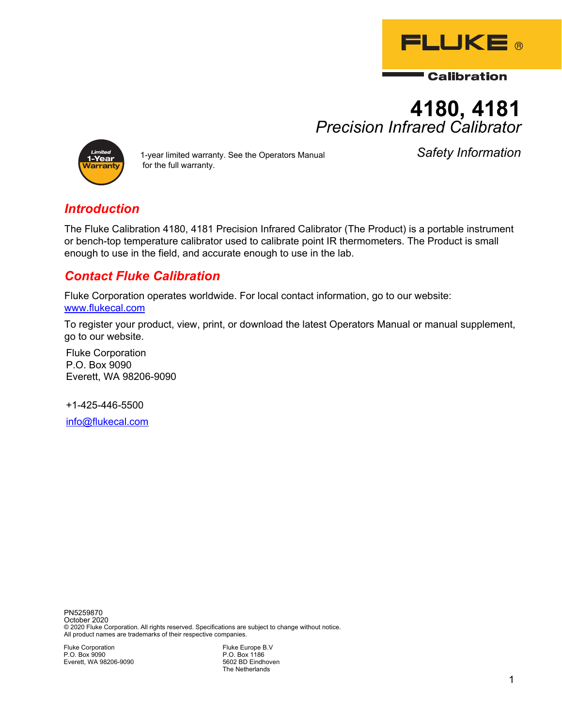

**Calibration** 

# **4180, 4181** *Precision Infrared Calibrator*



1-year limited warranty. See the Operators Manual *Safety Information* for the full warranty.

### *Introduction*

The Fluke Calibration 4180, 4181 Precision Infrared Calibrator (The Product) is a portable instrument or bench-top temperature calibrator used to calibrate point IR thermometers. The Product is small enough to use in the field, and accurate enough to use in the lab.

## *Contact Fluke Calibration*

Fluke Corporation operates worldwide. For local contact information, go to our website: www.flukecal.com

To register your product, view, print, or download the latest Operators Manual or manual supplement, go to our website.

Fluke Corporation P.O. Box 9090 Everett, WA 98206-9090

+1-425-446-5500

info@flukecal.com

PN5259870 October 2020 © 2020 Fluke Corporation. All rights reserved. Specifications are subject to change without notice. All product names are trademarks of their respective companies.

Fluke Corporation P.O. Box 9090 Everett, WA 98206-9090 Fluke Europe B.V P.O. Box 1186 5602 BD Eindhoven The Netherlands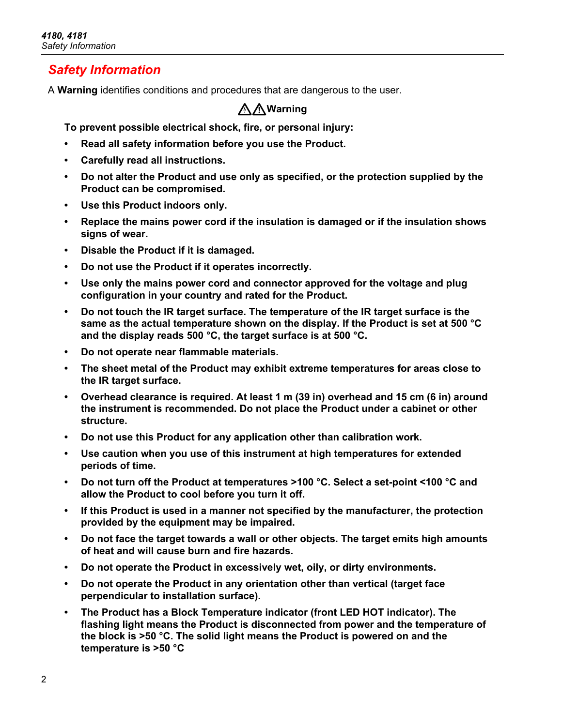#### *Safety Information*

A **Warning** identifies conditions and procedures that are dangerous to the user.

#### XW**Warning**

**To prevent possible electrical shock, fire, or personal injury:**

- **Read all safety information before you use the Product.**
- **Carefully read all instructions.**
- **Do not alter the Product and use only as specified, or the protection supplied by the Product can be compromised.**
- **Use this Product indoors only.**
- **Replace the mains power cord if the insulation is damaged or if the insulation shows signs of wear.**
- **Disable the Product if it is damaged.**
- **Do not use the Product if it operates incorrectly.**
- **Use only the mains power cord and connector approved for the voltage and plug configuration in your country and rated for the Product.**
- **Do not touch the IR target surface. The temperature of the IR target surface is the same as the actual temperature shown on the display. If the Product is set at 500 °C and the display reads 500 °C, the target surface is at 500 °C.**
- **Do not operate near flammable materials.**
- **The sheet metal of the Product may exhibit extreme temperatures for areas close to the IR target surface.**
- **Overhead clearance is required. At least 1 m (39 in) overhead and 15 cm (6 in) around the instrument is recommended. Do not place the Product under a cabinet or other structure.**
- **Do not use this Product for any application other than calibration work.**
- **Use caution when you use of this instrument at high temperatures for extended periods of time.**
- **Do not turn off the Product at temperatures >100 °C. Select a set-point <100 °C and allow the Product to cool before you turn it off.**
- **If this Product is used in a manner not specified by the manufacturer, the protection provided by the equipment may be impaired.**
- **Do not face the target towards a wall or other objects. The target emits high amounts of heat and will cause burn and fire hazards.**
- **Do not operate the Product in excessively wet, oily, or dirty environments.**
- **Do not operate the Product in any orientation other than vertical (target face perpendicular to installation surface).**
- **The Product has a Block Temperature indicator (front LED HOT indicator). The flashing light means the Product is disconnected from power and the temperature of the block is >50 °C. The solid light means the Product is powered on and the temperature is >50 °C**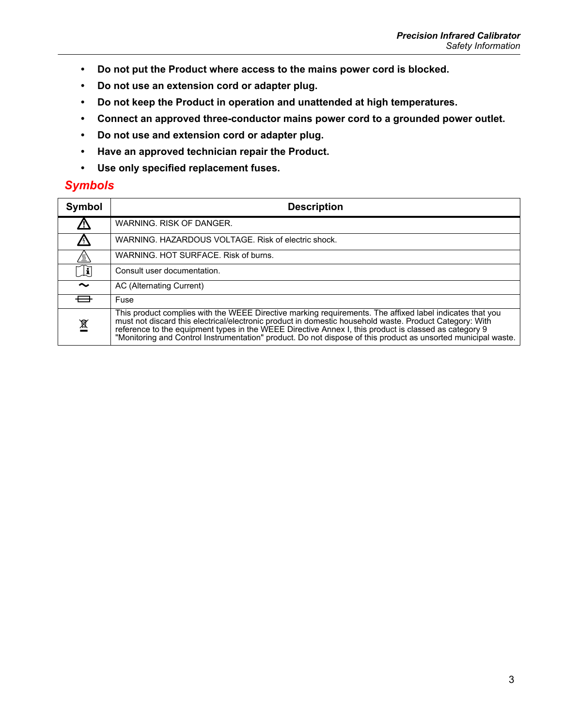- **Do not put the Product where access to the mains power cord is blocked.**
- **Do not use an extension cord or adapter plug.**
- **Do not keep the Product in operation and unattended at high temperatures.**
- **Connect an approved three-conductor mains power cord to a grounded power outlet.**
- **Do not use and extension cord or adapter plug.**
- **Have an approved technician repair the Product.**
- **Use only specified replacement fuses.**

#### *Symbols*

| Symbol        | <b>Description</b>                                                                                                                                                                                                                                                                                                                                                                                                                            |  |  |
|---------------|-----------------------------------------------------------------------------------------------------------------------------------------------------------------------------------------------------------------------------------------------------------------------------------------------------------------------------------------------------------------------------------------------------------------------------------------------|--|--|
| <u>/!\</u>    | WARNING. RISK OF DANGER.                                                                                                                                                                                                                                                                                                                                                                                                                      |  |  |
| $\prime$      | WARNING, HAZARDOUS VOLTAGE, Risk of electric shock.                                                                                                                                                                                                                                                                                                                                                                                           |  |  |
| <u>' ))</u> ' | WARNING, HOT SURFACE, Risk of burns.                                                                                                                                                                                                                                                                                                                                                                                                          |  |  |
| $\Box$        | Consult user documentation.                                                                                                                                                                                                                                                                                                                                                                                                                   |  |  |
| $\sim$        | AC (Alternating Current)                                                                                                                                                                                                                                                                                                                                                                                                                      |  |  |
| ⊟             | Fuse                                                                                                                                                                                                                                                                                                                                                                                                                                          |  |  |
| 凰             | This product complies with the WEEE Directive marking requirements. The affixed label indicates that you<br>must not discard this electrical/electronic product in domestic household waste. Product Category: With<br>reference to the equipment types in the WEEE Directive Annex I, this product is classed as category 9<br>"Monitoring and Control Instrumentation" product. Do not dispose of this product as unsorted municipal waste. |  |  |